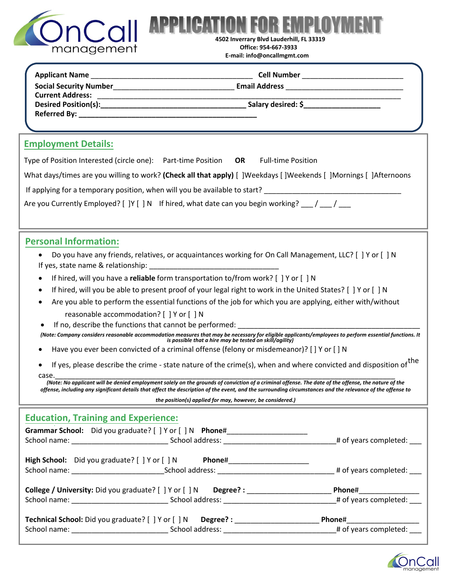

**ON FOR EMPLOY 4502 Inverrary Blvd Lauderhill, FL 33319 Office: 954-667-3933**

| <b>Employment Details:</b>                                                                                                                                                                                                                                                                                                                                                     |  |  |  |  |  |  |
|--------------------------------------------------------------------------------------------------------------------------------------------------------------------------------------------------------------------------------------------------------------------------------------------------------------------------------------------------------------------------------|--|--|--|--|--|--|
| Type of Position Interested (circle one): Part-time Position OR<br><b>Full-time Position</b>                                                                                                                                                                                                                                                                                   |  |  |  |  |  |  |
| What days/times are you willing to work? (Check all that apply) [ ]Weekdays [ ]Weekends [ ]Mornings [ ]Afternoons                                                                                                                                                                                                                                                              |  |  |  |  |  |  |
| If applying for a temporary position, when will you be available to start? ___________________________________                                                                                                                                                                                                                                                                 |  |  |  |  |  |  |
| Are you Currently Employed? [ ]Y [ ] N If hired, what date can you begin working? $\frac{1}{\sqrt{2}}$                                                                                                                                                                                                                                                                         |  |  |  |  |  |  |
| <b>Personal Information:</b>                                                                                                                                                                                                                                                                                                                                                   |  |  |  |  |  |  |
| Do you have any friends, relatives, or acquaintances working for On Call Management, LLC? [] Y or [] N<br>If yes, state name & relationship: The state of the state of the state of the state of the state of the state o                                                                                                                                                      |  |  |  |  |  |  |
| If hired, will you have a reliable form transportation to/from work? [ ] Y or [ ] N                                                                                                                                                                                                                                                                                            |  |  |  |  |  |  |
| If hired, will you be able to present proof of your legal right to work in the United States? [ ] Y or [ ] N                                                                                                                                                                                                                                                                   |  |  |  |  |  |  |
| Are you able to perform the essential functions of the job for which you are applying, either with/without                                                                                                                                                                                                                                                                     |  |  |  |  |  |  |
| reasonable accommodation? [ ] Y or [ ] N<br>If no, describe the functions that cannot be performed:                                                                                                                                                                                                                                                                            |  |  |  |  |  |  |
| (Note: Company considers reasonable accommodation measures that may be necessary for eligible applicants/employees to perform essential functions. It                                                                                                                                                                                                                          |  |  |  |  |  |  |
| is possible that a hire may be tested on skill/agility)<br>Have you ever been convicted of a criminal offense (felony or misdemeanor)? [ ] Y or [ ] N                                                                                                                                                                                                                          |  |  |  |  |  |  |
| If yes, please describe the crime - state nature of the crime(s), when and where convicted and disposition of the<br>case.                                                                                                                                                                                                                                                     |  |  |  |  |  |  |
| (Note: No applicant will be denied employment solely on the grounds of conviction of a criminal offense. The date of the offense, the nature of the<br>offense, including any significant details that affect the description of the event, and the surrounding circumstances and the relevance of the offense to<br>the position(s) applied for may, however, be considered.) |  |  |  |  |  |  |
| <b>Education, Training and Experience:</b>                                                                                                                                                                                                                                                                                                                                     |  |  |  |  |  |  |
|                                                                                                                                                                                                                                                                                                                                                                                |  |  |  |  |  |  |
|                                                                                                                                                                                                                                                                                                                                                                                |  |  |  |  |  |  |
| High School: Did you graduate? [ ] Y or [ ] N Phone#____________________________                                                                                                                                                                                                                                                                                               |  |  |  |  |  |  |
| College / University: Did you graduate? [ ] Y or [ ] N Degree? : _______________________ Phone#_______________                                                                                                                                                                                                                                                                 |  |  |  |  |  |  |
|                                                                                                                                                                                                                                                                                                                                                                                |  |  |  |  |  |  |
| Technical School: Did you graduate? [ ] Y or [ ] N Degree? : ___________________________ Phone#_______________                                                                                                                                                                                                                                                                 |  |  |  |  |  |  |
|                                                                                                                                                                                                                                                                                                                                                                                |  |  |  |  |  |  |

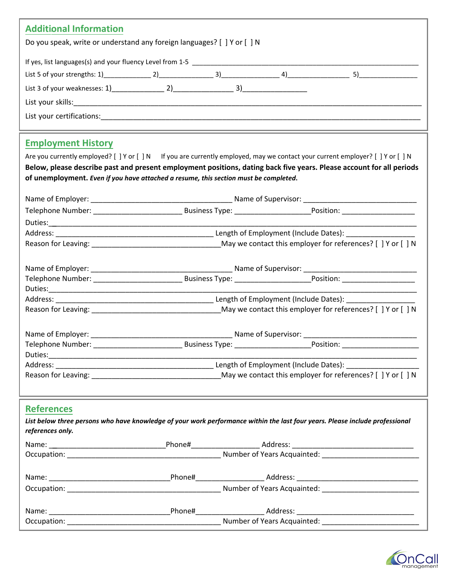| <b>Additional Information</b>                                                                                                                                                                                |                                                                                               |  |  |  |  |  |
|--------------------------------------------------------------------------------------------------------------------------------------------------------------------------------------------------------------|-----------------------------------------------------------------------------------------------|--|--|--|--|--|
| Do you speak, write or understand any foreign languages? [ ] Y or [ ] N                                                                                                                                      |                                                                                               |  |  |  |  |  |
|                                                                                                                                                                                                              |                                                                                               |  |  |  |  |  |
|                                                                                                                                                                                                              |                                                                                               |  |  |  |  |  |
|                                                                                                                                                                                                              |                                                                                               |  |  |  |  |  |
|                                                                                                                                                                                                              |                                                                                               |  |  |  |  |  |
|                                                                                                                                                                                                              |                                                                                               |  |  |  |  |  |
|                                                                                                                                                                                                              |                                                                                               |  |  |  |  |  |
| <b>Employment History</b>                                                                                                                                                                                    |                                                                                               |  |  |  |  |  |
| Are you currently employed? [ ] Y or [ ] N If you are currently employed, may we contact your current employer? [ ] Y or [ ] N                                                                               |                                                                                               |  |  |  |  |  |
|                                                                                                                                                                                                              |                                                                                               |  |  |  |  |  |
| Below, please describe past and present employment positions, dating back five years. Please account for all periods<br>of unemployment. Even if you have attached a resume, this section must be completed. |                                                                                               |  |  |  |  |  |
|                                                                                                                                                                                                              |                                                                                               |  |  |  |  |  |
|                                                                                                                                                                                                              |                                                                                               |  |  |  |  |  |
|                                                                                                                                                                                                              |                                                                                               |  |  |  |  |  |
|                                                                                                                                                                                                              |                                                                                               |  |  |  |  |  |
|                                                                                                                                                                                                              |                                                                                               |  |  |  |  |  |
|                                                                                                                                                                                                              |                                                                                               |  |  |  |  |  |
|                                                                                                                                                                                                              |                                                                                               |  |  |  |  |  |
|                                                                                                                                                                                                              |                                                                                               |  |  |  |  |  |
|                                                                                                                                                                                                              |                                                                                               |  |  |  |  |  |
|                                                                                                                                                                                                              | Reason for Leaving: 1990 and 2008 May we contact this employer for references? [1] Y or [1] N |  |  |  |  |  |
|                                                                                                                                                                                                              |                                                                                               |  |  |  |  |  |
|                                                                                                                                                                                                              |                                                                                               |  |  |  |  |  |
| Telephone Number:                                                                                                                                                                                            |                                                                                               |  |  |  |  |  |
|                                                                                                                                                                                                              |                                                                                               |  |  |  |  |  |
|                                                                                                                                                                                                              |                                                                                               |  |  |  |  |  |
|                                                                                                                                                                                                              |                                                                                               |  |  |  |  |  |
|                                                                                                                                                                                                              |                                                                                               |  |  |  |  |  |
| <b>References</b>                                                                                                                                                                                            |                                                                                               |  |  |  |  |  |
| List below three persons who have knowledge of your work performance within the last four years. Please include professional                                                                                 |                                                                                               |  |  |  |  |  |
| references only.                                                                                                                                                                                             |                                                                                               |  |  |  |  |  |
|                                                                                                                                                                                                              |                                                                                               |  |  |  |  |  |
|                                                                                                                                                                                                              |                                                                                               |  |  |  |  |  |
|                                                                                                                                                                                                              |                                                                                               |  |  |  |  |  |
|                                                                                                                                                                                                              |                                                                                               |  |  |  |  |  |
|                                                                                                                                                                                                              |                                                                                               |  |  |  |  |  |
|                                                                                                                                                                                                              |                                                                                               |  |  |  |  |  |
|                                                                                                                                                                                                              |                                                                                               |  |  |  |  |  |
|                                                                                                                                                                                                              |                                                                                               |  |  |  |  |  |